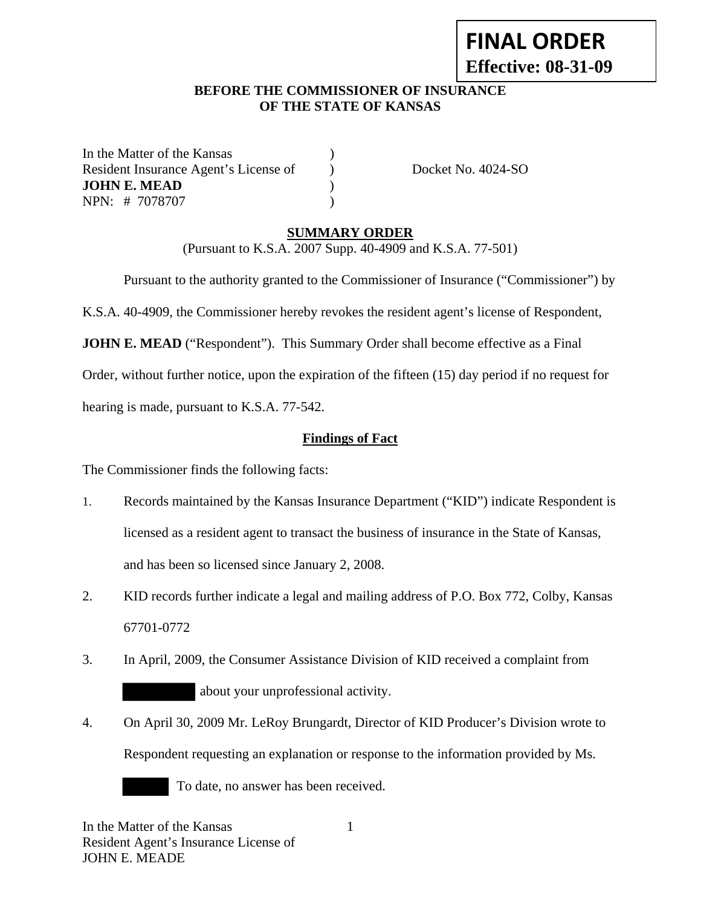# **FINAL ORDER Effective: 08-31-09**

#### **BEFORE THE COMMISSIONER OF INSURANCE OF THE STATE OF KANSAS**

In the Matter of the Kansas (1) Resident Insurance Agent's License of Docket No. 4024-SO **JOHN E. MEAD** ) NPN: # 7078707 )

#### **SUMMARY ORDER**

(Pursuant to K.S.A. 2007 Supp. 40-4909 and K.S.A. 77-501)

Pursuant to the authority granted to the Commissioner of Insurance ("Commissioner") by

K.S.A. 40-4909, the Commissioner hereby revokes the resident agent's license of Respondent,

**JOHN E. MEAD** ("Respondent"). This Summary Order shall become effective as a Final

Order, without further notice, upon the expiration of the fifteen (15) day period if no request for

hearing is made, pursuant to K.S.A. 77-542.

#### **Findings of Fact**

The Commissioner finds the following facts:

- 1. Records maintained by the Kansas Insurance Department ("KID") indicate Respondent is licensed as a resident agent to transact the business of insurance in the State of Kansas, and has been so licensed since January 2, 2008.
- 2. KID records further indicate a legal and mailing address of P.O. Box 772, Colby, Kansas 67701-0772
- 3. In April, 2009, the Consumer Assistance Division of KID received a complaint from about your unprofessional activity.
- 4. On April 30, 2009 Mr. LeRoy Brungardt, Director of KID Producer's Division wrote to Respondent requesting an explanation or response to the information provided by Ms.

1

To date, no answer has been received.

In the Matter of the Kansas Resident Agent's Insurance License of JOHN E. MEADE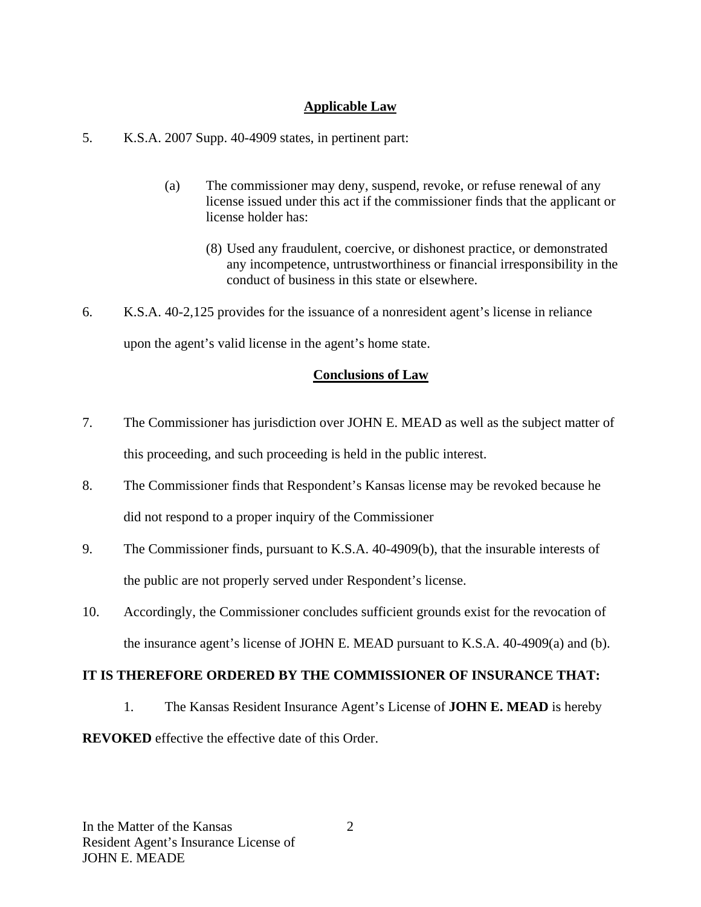#### **Applicable Law**

5. K.S.A. 2007 Supp. 40-4909 states, in pertinent part:

- (a) The commissioner may deny, suspend, revoke, or refuse renewal of any license issued under this act if the commissioner finds that the applicant or license holder has:
	- (8) Used any fraudulent, coercive, or dishonest practice, or demonstrated any incompetence, untrustworthiness or financial irresponsibility in the conduct of business in this state or elsewhere.
- 6. K.S.A. 40-2,125 provides for the issuance of a nonresident agent's license in reliance upon the agent's valid license in the agent's home state.

## **Conclusions of Law**

- 7. The Commissioner has jurisdiction over JOHN E. MEAD as well as the subject matter of this proceeding, and such proceeding is held in the public interest.
- 8. The Commissioner finds that Respondent's Kansas license may be revoked because he did not respond to a proper inquiry of the Commissioner
- 9. The Commissioner finds, pursuant to K.S.A. 40-4909(b), that the insurable interests of the public are not properly served under Respondent's license.
- 10. Accordingly, the Commissioner concludes sufficient grounds exist for the revocation of the insurance agent's license of JOHN E. MEAD pursuant to K.S.A. 40-4909(a) and (b).

## **IT IS THEREFORE ORDERED BY THE COMMISSIONER OF INSURANCE THAT:**

1. The Kansas Resident Insurance Agent's License of **JOHN E. MEAD** is hereby

**REVOKED** effective the effective date of this Order.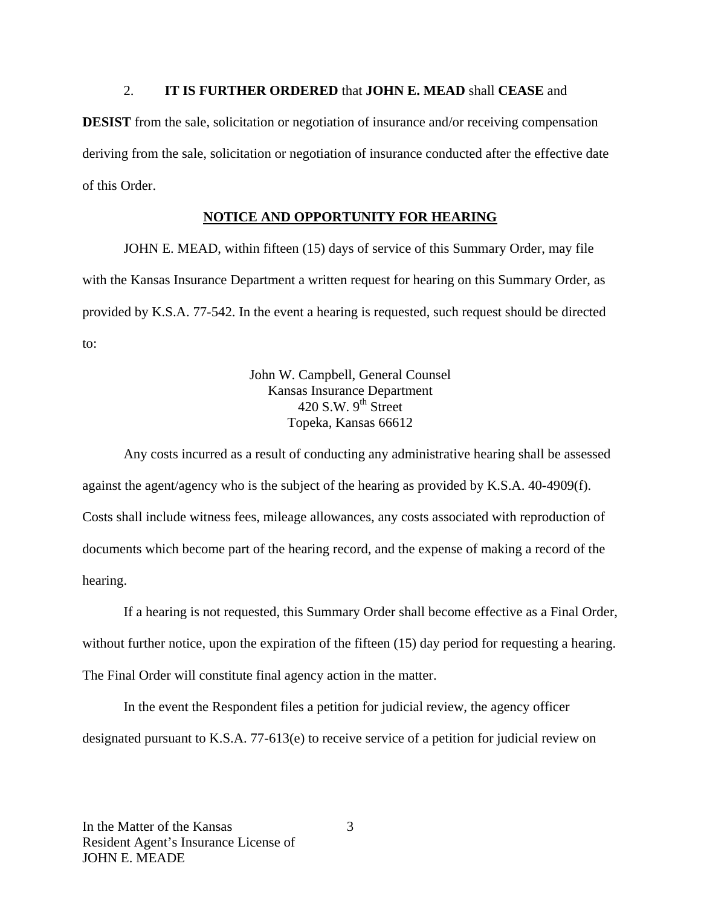#### 2. **IT IS FURTHER ORDERED** that **JOHN E. MEAD** shall **CEASE** and

**DESIST** from the sale, solicitation or negotiation of insurance and/or receiving compensation deriving from the sale, solicitation or negotiation of insurance conducted after the effective date of this Order.

## **NOTICE AND OPPORTUNITY FOR HEARING**

JOHN E. MEAD, within fifteen (15) days of service of this Summary Order, may file with the Kansas Insurance Department a written request for hearing on this Summary Order, as provided by K.S.A. 77-542. In the event a hearing is requested, such request should be directed to:

> John W. Campbell, General Counsel Kansas Insurance Department 420 S.W.  $9^{th}$  Street Topeka, Kansas 66612

Any costs incurred as a result of conducting any administrative hearing shall be assessed against the agent/agency who is the subject of the hearing as provided by K.S.A. 40-4909(f). Costs shall include witness fees, mileage allowances, any costs associated with reproduction of documents which become part of the hearing record, and the expense of making a record of the hearing.

If a hearing is not requested, this Summary Order shall become effective as a Final Order, without further notice, upon the expiration of the fifteen (15) day period for requesting a hearing. The Final Order will constitute final agency action in the matter.

In the event the Respondent files a petition for judicial review, the agency officer designated pursuant to K.S.A. 77-613(e) to receive service of a petition for judicial review on